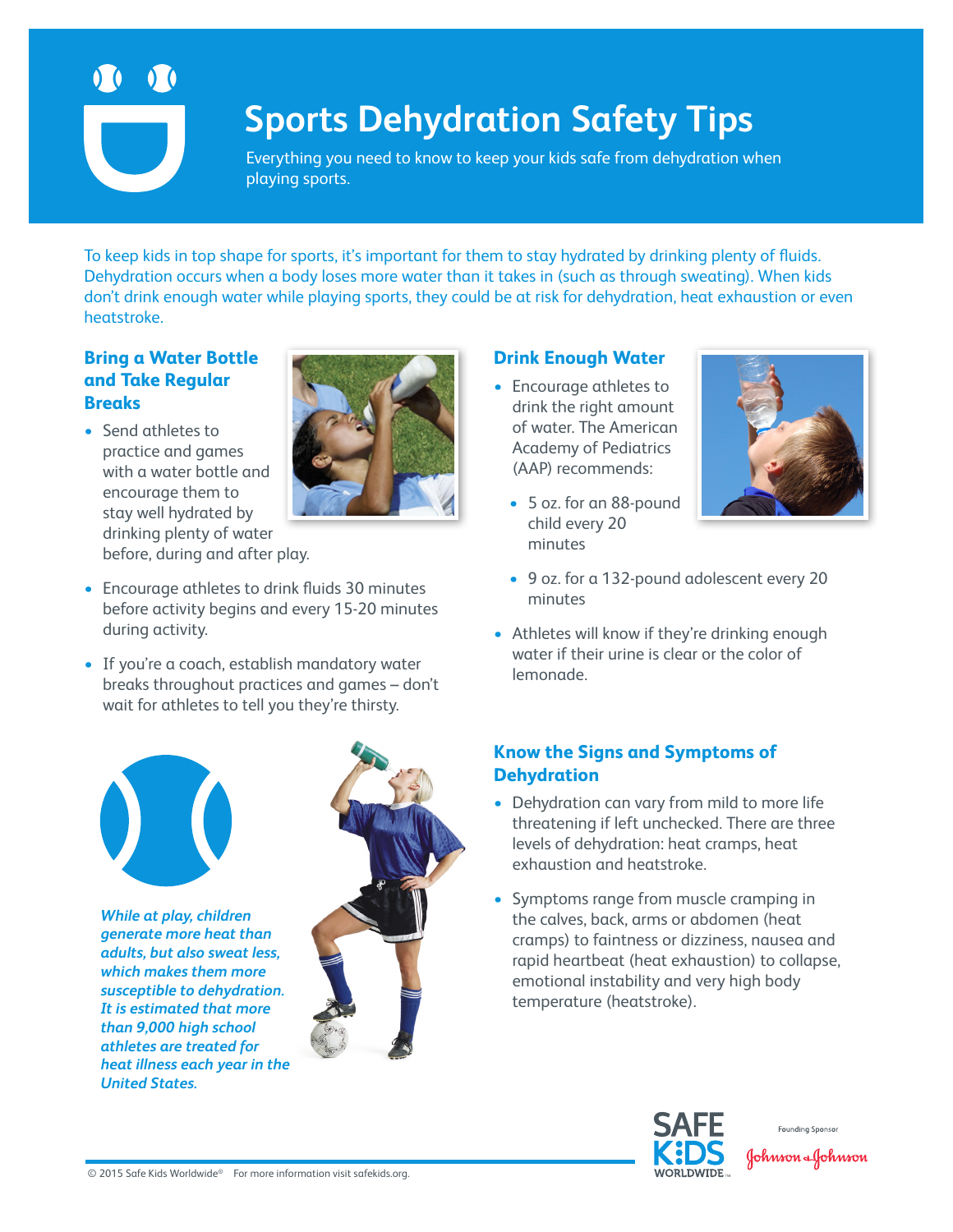

# **Sports Dehydration Safety Tips**

Everything you need to know to keep your kids safe from dehydration when playing sports.

To keep kids in top shape for sports, it's important for them to stay hydrated by drinking plenty of fluids. Dehydration occurs when a body loses more water than it takes in (such as through sweating). When kids don't drink enough water while playing sports, they could be at risk for dehydration, heat exhaustion or even heatstroke.

### **Bring a Water Bottle and Take Regular Breaks**

• Send athletes to practice and games with a water bottle and encourage them to stay well hydrated by drinking plenty of water before, during and after play.



- Encourage athletes to drink fluids 30 minutes before activity begins and every 15-20 minutes during activity.
- If you're a coach, establish mandatory water breaks throughout practices and games – don't wait for athletes to tell you they're thirsty.



*While at play, children generate more heat than adults, but also sweat less, which makes them more susceptible to dehydration. It is estimated that more than 9,000 high school athletes are treated for heat illness each year in the United States.* 



### **Drink Enough Water**

- Encourage athletes to drink the right amount of water. The American Academy of Pediatrics (AAP) recommends:
	- 5 oz. for an 88-pound child every 20 minutes



- 9 oz. for a 132-pound adolescent every 20 minutes
- Athletes will know if they're drinking enough water if their urine is clear or the color of lemonade.

## **Know the Signs and Symptoms of Dehydration**

- Dehydration can vary from mild to more life threatening if left unchecked. There are three levels of dehydration: heat cramps, heat exhaustion and heatstroke.
- Symptoms range from muscle cramping in the calves, back, arms or abdomen (heat cramps) to faintness or dizziness, nausea and rapid heartbeat (heat exhaustion) to collapse, emotional instability and very high body temperature (heatstroke).





© 2015 Safe Kids Worldwide® For more information visit safekids.org.